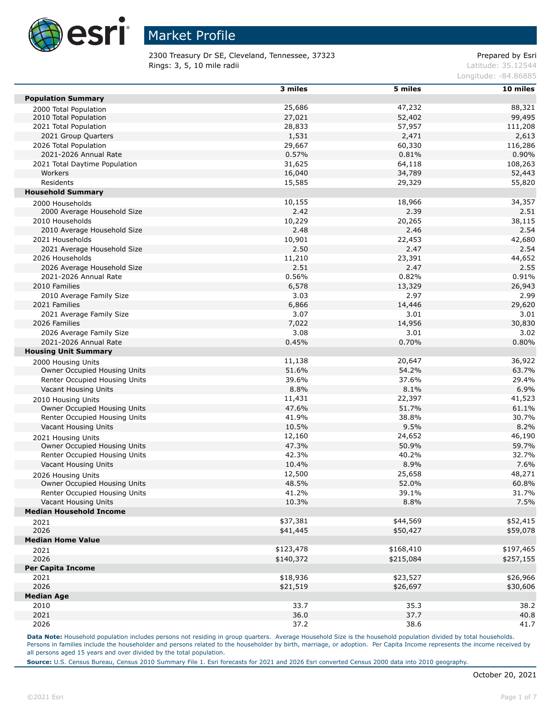

2300 Treasury Dr SE, Cleveland, Tennessee, 37323 Prepared by Esri **Rings: 3, 5, 10 mile radii** Latitude: 35.12544

Longitude: -84.86885

|                                | 3 miles   | 5 miles   | 10 miles  |
|--------------------------------|-----------|-----------|-----------|
| <b>Population Summary</b>      |           |           |           |
| 2000 Total Population          | 25,686    | 47,232    | 88,321    |
| 2010 Total Population          | 27,021    | 52,402    | 99,495    |
| 2021 Total Population          | 28,833    | 57,957    | 111,208   |
| 2021 Group Quarters            | 1,531     | 2,471     | 2,613     |
| 2026 Total Population          | 29,667    | 60,330    | 116,286   |
| 2021-2026 Annual Rate          | 0.57%     | 0.81%     | 0.90%     |
| 2021 Total Daytime Population  | 31,625    | 64,118    | 108,263   |
| Workers                        | 16,040    | 34,789    | 52,443    |
| Residents                      | 15,585    | 29,329    | 55,820    |
| <b>Household Summary</b>       |           |           |           |
| 2000 Households                | 10,155    | 18,966    | 34,357    |
| 2000 Average Household Size    | 2.42      | 2.39      | 2.51      |
| 2010 Households                | 10,229    | 20,265    | 38,115    |
| 2010 Average Household Size    | 2.48      | 2.46      | 2.54      |
| 2021 Households                | 10,901    | 22,453    | 42,680    |
| 2021 Average Household Size    | 2.50      | 2.47      | 2.54      |
| 2026 Households                | 11,210    | 23,391    | 44,652    |
| 2026 Average Household Size    | 2.51      | 2.47      | 2.55      |
| 2021-2026 Annual Rate          | 0.56%     | 0.82%     | 0.91%     |
| 2010 Families                  | 6,578     | 13,329    | 26,943    |
| 2010 Average Family Size       | 3.03      | 2.97      | 2.99      |
| 2021 Families                  | 6,866     | 14,446    | 29,620    |
| 2021 Average Family Size       | 3.07      | 3.01      | 3.01      |
| 2026 Families                  | 7,022     | 14,956    | 30,830    |
| 2026 Average Family Size       | 3.08      | 3.01      | 3.02      |
| 2021-2026 Annual Rate          | 0.45%     | 0.70%     | 0.80%     |
| <b>Housing Unit Summary</b>    |           |           |           |
| 2000 Housing Units             | 11,138    | 20,647    | 36,922    |
| Owner Occupied Housing Units   | 51.6%     | 54.2%     | 63.7%     |
| Renter Occupied Housing Units  | 39.6%     | 37.6%     | 29.4%     |
| Vacant Housing Units           | 8.8%      | 8.1%      | 6.9%      |
| 2010 Housing Units             | 11,431    | 22,397    | 41,523    |
| Owner Occupied Housing Units   | 47.6%     | 51.7%     | 61.1%     |
| Renter Occupied Housing Units  | 41.9%     | 38.8%     | 30.7%     |
| Vacant Housing Units           | 10.5%     | 9.5%      | 8.2%      |
| 2021 Housing Units             | 12,160    | 24,652    | 46,190    |
| Owner Occupied Housing Units   | 47.3%     | 50.9%     | 59.7%     |
| Renter Occupied Housing Units  | 42.3%     | 40.2%     | 32.7%     |
| Vacant Housing Units           | 10.4%     | 8.9%      | 7.6%      |
| 2026 Housing Units             | 12,500    | 25,658    | 48,271    |
| Owner Occupied Housing Units   | 48.5%     | 52.0%     | 60.8%     |
| Renter Occupied Housing Units  | 41.2%     | 39.1%     | 31.7%     |
| Vacant Housing Units           | 10.3%     | 8.8%      | 7.5%      |
| <b>Median Household Income</b> |           |           |           |
| 2021                           | \$37,381  | \$44,569  | \$52,415  |
| 2026                           | \$41,445  | \$50,427  | \$59,078  |
| <b>Median Home Value</b>       |           |           |           |
| 2021                           | \$123,478 | \$168,410 | \$197,465 |
| 2026                           | \$140,372 | \$215,084 | \$257,155 |
| Per Capita Income              |           |           |           |
| 2021                           | \$18,936  | \$23,527  | \$26,966  |
| 2026                           | \$21,519  | \$26,697  | \$30,606  |
| <b>Median Age</b>              |           |           |           |
| 2010                           | 33.7      | 35.3      | 38.2      |
| 2021                           | 36.0      | 37.7      | 40.8      |
| 2026                           | 37.2      | 38.6      | 41.7      |

Data Note: Household population includes persons not residing in group quarters. Average Household Size is the household population divided by total households. Persons in families include the householder and persons related to the householder by birth, marriage, or adoption. Per Capita Income represents the income received by all persons aged 15 years and over divided by the total population.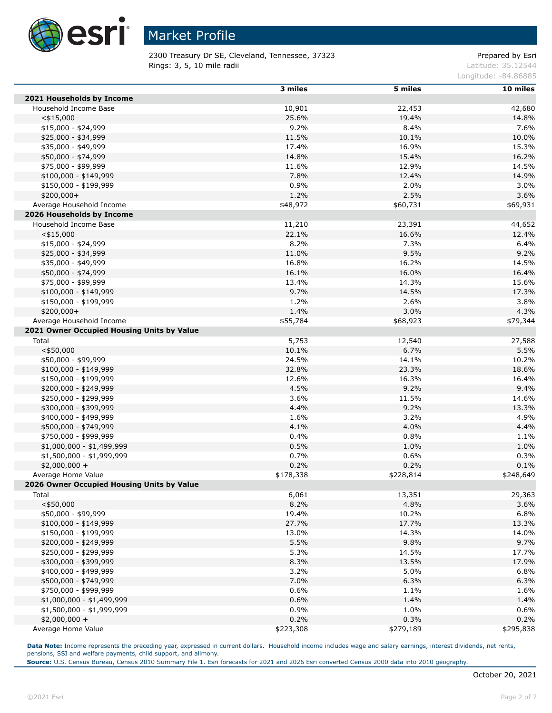

2300 Treasury Dr SE, Cleveland, Tennessee, 37323 Prepared by Esri **Rings: 3, 5, 10 mile radii** Latitude: 35.12544

Longitude: -84.86885

|                                            | 3 miles   | 5 miles   | 10 miles  |
|--------------------------------------------|-----------|-----------|-----------|
| 2021 Households by Income                  |           |           |           |
| Household Income Base                      | 10,901    | 22,453    | 42,680    |
| $<$ \$15,000                               | 25.6%     | 19.4%     | 14.8%     |
| $$15,000 - $24,999$                        | 9.2%      | 8.4%      | 7.6%      |
| \$25,000 - \$34,999                        | 11.5%     | 10.1%     | 10.0%     |
| \$35,000 - \$49,999                        | 17.4%     | 16.9%     | 15.3%     |
| \$50,000 - \$74,999                        | 14.8%     | 15.4%     | 16.2%     |
| \$75,000 - \$99,999                        | 11.6%     | 12.9%     | 14.5%     |
| $$100,000 - $149,999$                      | 7.8%      | 12.4%     | 14.9%     |
| \$150,000 - \$199,999                      | 0.9%      | 2.0%      | 3.0%      |
| $$200,000+$                                | 1.2%      | 2.5%      | 3.6%      |
| Average Household Income                   | \$48,972  | \$60,731  | \$69,931  |
| 2026 Households by Income                  |           |           |           |
| Household Income Base                      | 11,210    | 23,391    | 44,652    |
| $<$ \$15,000                               | 22.1%     | 16.6%     | 12.4%     |
| $$15,000 - $24,999$                        | 8.2%      | 7.3%      | 6.4%      |
| \$25,000 - \$34,999                        | 11.0%     | 9.5%      | 9.2%      |
| \$35,000 - \$49,999                        | 16.8%     | 16.2%     | 14.5%     |
| \$50,000 - \$74,999                        | 16.1%     | 16.0%     | 16.4%     |
| \$75,000 - \$99,999                        | 13.4%     | 14.3%     | 15.6%     |
| $$100,000 - $149,999$                      | 9.7%      | 14.5%     | 17.3%     |
| \$150,000 - \$199,999                      | 1.2%      | 2.6%      | 3.8%      |
| $$200,000+$                                | 1.4%      | 3.0%      | 4.3%      |
| Average Household Income                   | \$55,784  | \$68,923  | \$79,344  |
| 2021 Owner Occupied Housing Units by Value |           |           |           |
| Total                                      | 5,753     | 12,540    | 27,588    |
| $<$ \$50,000                               | 10.1%     | 6.7%      | 5.5%      |
| \$50,000 - \$99,999                        | 24.5%     | 14.1%     | 10.2%     |
| $$100,000 - $149,999$                      | 32.8%     | 23.3%     | 18.6%     |
| \$150,000 - \$199,999                      | 12.6%     | 16.3%     | 16.4%     |
| \$200,000 - \$249,999                      | 4.5%      | 9.2%      | 9.4%      |
| \$250,000 - \$299,999                      | 3.6%      | 11.5%     | 14.6%     |
| \$300,000 - \$399,999                      | 4.4%      | 9.2%      | 13.3%     |
| \$400,000 - \$499,999                      | 1.6%      | 3.2%      | 4.9%      |
| \$500,000 - \$749,999                      | 4.1%      | 4.0%      | 4.4%      |
| \$750,000 - \$999,999                      | 0.4%      | 0.8%      | 1.1%      |
| $$1,000,000 - $1,499,999$                  | 0.5%      | 1.0%      | 1.0%      |
| \$1,500,000 - \$1,999,999                  | 0.7%      | 0.6%      | 0.3%      |
| $$2,000,000 +$                             | 0.2%      | 0.2%      | 0.1%      |
| Average Home Value                         | \$178,338 | \$228,814 | \$248,649 |
| 2026 Owner Occupied Housing Units by Value |           |           |           |
| Total                                      | 6,061     | 13,351    | 29,363    |
| $<$ \$50,000                               | 8.2%      | 4.8%      | 3.6%      |
| \$50,000 - \$99,999                        | 19.4%     | 10.2%     | 6.8%      |
| \$100,000 - \$149,999                      | 27.7%     | 17.7%     | 13.3%     |
| \$150,000 - \$199,999                      | 13.0%     | 14.3%     | 14.0%     |
| \$200,000 - \$249,999                      | 5.5%      | 9.8%      | 9.7%      |
| \$250,000 - \$299,999                      | 5.3%      | 14.5%     | 17.7%     |
| \$300,000 - \$399,999                      | 8.3%      | 13.5%     | 17.9%     |
| \$400,000 - \$499,999                      | 3.2%      | 5.0%      | 6.8%      |
| \$500,000 - \$749,999                      | 7.0%      | 6.3%      | 6.3%      |
| \$750,000 - \$999,999                      | 0.6%      | 1.1%      | 1.6%      |
| \$1,000,000 - \$1,499,999                  | 0.6%      | 1.4%      | 1.4%      |
| \$1,500,000 - \$1,999,999                  | 0.9%      | 1.0%      | 0.6%      |
| $$2,000,000 +$                             | 0.2%      | 0.3%      | 0.2%      |
| Average Home Value                         | \$223,308 | \$279,189 | \$295,838 |

**Data Note:** Income represents the preceding year, expressed in current dollars. Household income includes wage and salary earnings, interest dividends, net rents, pensions, SSI and welfare payments, child support, and alimony.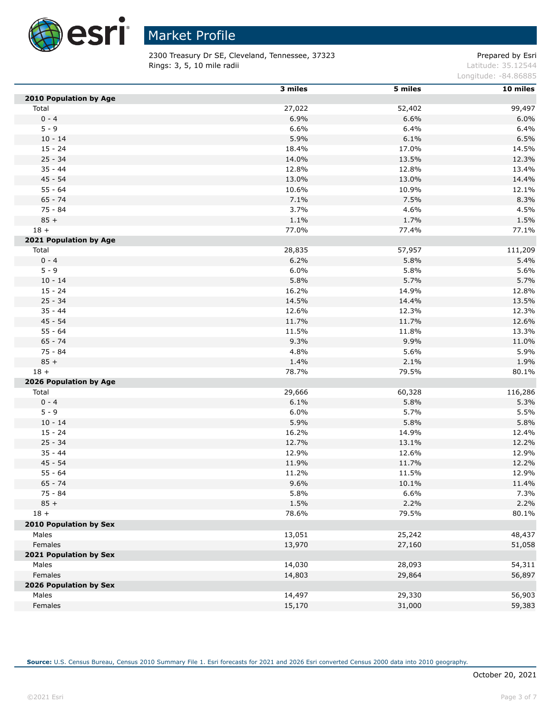

2300 Treasury Dr SE, Cleveland, Tennessee, 37323 Prepared by Esri **Rings: 3, 5, 10 mile radii** Latitude: 35.12544

Longitude: -84.86885

|                        | 3 miles | 5 miles | 10 miles |
|------------------------|---------|---------|----------|
| 2010 Population by Age |         |         |          |
| Total                  | 27,022  | 52,402  | 99,497   |
| $0 - 4$                | 6.9%    | 6.6%    | 6.0%     |
| $5 - 9$                | 6.6%    | 6.4%    | 6.4%     |
| $10 - 14$              | 5.9%    | 6.1%    | 6.5%     |
| $15 - 24$              | 18.4%   | 17.0%   | 14.5%    |
| $25 - 34$              | 14.0%   | 13.5%   | 12.3%    |
| $35 - 44$              | 12.8%   | 12.8%   | 13.4%    |
| $45 - 54$              | 13.0%   | 13.0%   | 14.4%    |
| $55 - 64$              | 10.6%   | 10.9%   | 12.1%    |
| $65 - 74$              | 7.1%    | 7.5%    | 8.3%     |
| $75 - 84$              | 3.7%    | 4.6%    | 4.5%     |
| $85 +$                 | 1.1%    | 1.7%    | 1.5%     |
| $18 +$                 | 77.0%   | 77.4%   | 77.1%    |
| 2021 Population by Age |         |         |          |
| Total                  | 28,835  | 57,957  | 111,209  |
| $0 - 4$                | 6.2%    | 5.8%    | 5.4%     |
| $5 - 9$                | 6.0%    | 5.8%    | 5.6%     |
| $10 - 14$              | 5.8%    | 5.7%    | 5.7%     |
| $15 - 24$              | 16.2%   | 14.9%   | 12.8%    |
| $25 - 34$              | 14.5%   | 14.4%   | 13.5%    |
| $35 - 44$              | 12.6%   | 12.3%   | 12.3%    |
| $45 - 54$              | 11.7%   | 11.7%   | 12.6%    |
| $55 - 64$              | 11.5%   | 11.8%   | 13.3%    |
| $65 - 74$              | 9.3%    | 9.9%    | 11.0%    |
| 75 - 84                | 4.8%    | 5.6%    | 5.9%     |
| $85 +$                 | 1.4%    | 2.1%    | 1.9%     |
| $18 +$                 | 78.7%   | 79.5%   | 80.1%    |
| 2026 Population by Age |         |         |          |
| Total                  | 29,666  | 60,328  | 116,286  |
| $0 - 4$                | 6.1%    | 5.8%    | 5.3%     |
| $5 - 9$                | 6.0%    | 5.7%    | 5.5%     |
| $10 - 14$              | 5.9%    | 5.8%    | 5.8%     |
| $15 - 24$              | 16.2%   | 14.9%   | 12.4%    |
| $25 - 34$              | 12.7%   | 13.1%   | 12.2%    |
| $35 - 44$              | 12.9%   | 12.6%   | 12.9%    |
| $45 - 54$              | 11.9%   | 11.7%   | 12.2%    |
| $55 - 64$              | 11.2%   | 11.5%   | 12.9%    |
| $65 - 74$              | 9.6%    | 10.1%   | 11.4%    |
| 75 - 84                | 5.8%    | 6.6%    | 7.3%     |
| $85 +$                 | 1.5%    | 2.2%    | 2.2%     |
| $18 +$                 | 78.6%   | 79.5%   | 80.1%    |
| 2010 Population by Sex |         |         |          |
| Males                  | 13,051  | 25,242  | 48,437   |
| Females                | 13,970  | 27,160  | 51,058   |
| 2021 Population by Sex |         |         |          |
| Males                  | 14,030  | 28,093  | 54,311   |
| Females                | 14,803  | 29,864  | 56,897   |
| 2026 Population by Sex |         |         |          |
| Males                  | 14,497  | 29,330  | 56,903   |
| Females                | 15,170  | 31,000  | 59,383   |
|                        |         |         |          |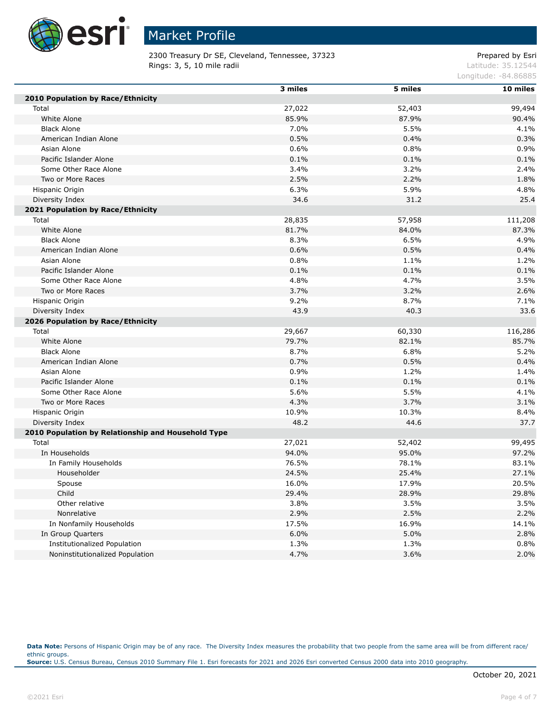

2300 Treasury Dr SE, Cleveland, Tennessee, 37323 Prepared by Esri **Rings: 3, 5, 10 mile radii** Latitude: 35.12544

Longitude: -84.86885

|                                                    | 3 miles | 5 miles | 10 miles |
|----------------------------------------------------|---------|---------|----------|
| 2010 Population by Race/Ethnicity                  |         |         |          |
| Total                                              | 27,022  | 52,403  | 99,494   |
| White Alone                                        | 85.9%   | 87.9%   | 90.4%    |
| <b>Black Alone</b>                                 | 7.0%    | 5.5%    | 4.1%     |
| American Indian Alone                              | 0.5%    | 0.4%    | 0.3%     |
| Asian Alone                                        | 0.6%    | 0.8%    | 0.9%     |
| Pacific Islander Alone                             | 0.1%    | 0.1%    | 0.1%     |
| Some Other Race Alone                              | 3.4%    | 3.2%    | 2.4%     |
| Two or More Races                                  | 2.5%    | 2.2%    | 1.8%     |
| Hispanic Origin                                    | 6.3%    | 5.9%    | 4.8%     |
| Diversity Index                                    | 34.6    | 31.2    | 25.4     |
| 2021 Population by Race/Ethnicity                  |         |         |          |
| Total                                              | 28,835  | 57,958  | 111,208  |
| White Alone                                        | 81.7%   | 84.0%   | 87.3%    |
| <b>Black Alone</b>                                 | 8.3%    | 6.5%    | 4.9%     |
| American Indian Alone                              | 0.6%    | 0.5%    | 0.4%     |
| Asian Alone                                        | 0.8%    | 1.1%    | 1.2%     |
| Pacific Islander Alone                             | 0.1%    | 0.1%    | 0.1%     |
| Some Other Race Alone                              | 4.8%    | 4.7%    | 3.5%     |
| Two or More Races                                  | 3.7%    | 3.2%    | 2.6%     |
| Hispanic Origin                                    | 9.2%    | 8.7%    | 7.1%     |
| Diversity Index                                    | 43.9    | 40.3    | 33.6     |
| 2026 Population by Race/Ethnicity                  |         |         |          |
| Total                                              | 29,667  | 60,330  | 116,286  |
| White Alone                                        | 79.7%   | 82.1%   | 85.7%    |
| <b>Black Alone</b>                                 | 8.7%    | 6.8%    | 5.2%     |
| American Indian Alone                              | 0.7%    | 0.5%    | 0.4%     |
| Asian Alone                                        | 0.9%    | 1.2%    | 1.4%     |
| Pacific Islander Alone                             | 0.1%    | 0.1%    | 0.1%     |
| Some Other Race Alone                              | 5.6%    | 5.5%    | 4.1%     |
| Two or More Races                                  | 4.3%    | 3.7%    | 3.1%     |
| Hispanic Origin                                    | 10.9%   | 10.3%   | 8.4%     |
| Diversity Index                                    | 48.2    | 44.6    | 37.7     |
| 2010 Population by Relationship and Household Type |         |         |          |
| Total                                              | 27,021  | 52,402  | 99,495   |
| In Households                                      | 94.0%   | 95.0%   | 97.2%    |
| In Family Households                               | 76.5%   | 78.1%   | 83.1%    |
| Householder                                        | 24.5%   | 25.4%   | 27.1%    |
| Spouse                                             | 16.0%   | 17.9%   | 20.5%    |
| Child                                              | 29.4%   | 28.9%   | 29.8%    |
| Other relative                                     | 3.8%    | 3.5%    | 3.5%     |
| Nonrelative                                        | 2.9%    | 2.5%    | 2.2%     |
| In Nonfamily Households                            | 17.5%   | 16.9%   | 14.1%    |
| In Group Quarters                                  | 6.0%    | 5.0%    | 2.8%     |
| Institutionalized Population                       | 1.3%    | 1.3%    | 0.8%     |
| Noninstitutionalized Population                    | 4.7%    | 3.6%    | 2.0%     |

Data Note: Persons of Hispanic Origin may be of any race. The Diversity Index measures the probability that two people from the same area will be from different race/ ethnic groups. **Source:** U.S. Census Bureau, Census 2010 Summary File 1. Esri forecasts for 2021 and 2026 Esri converted Census 2000 data into 2010 geography.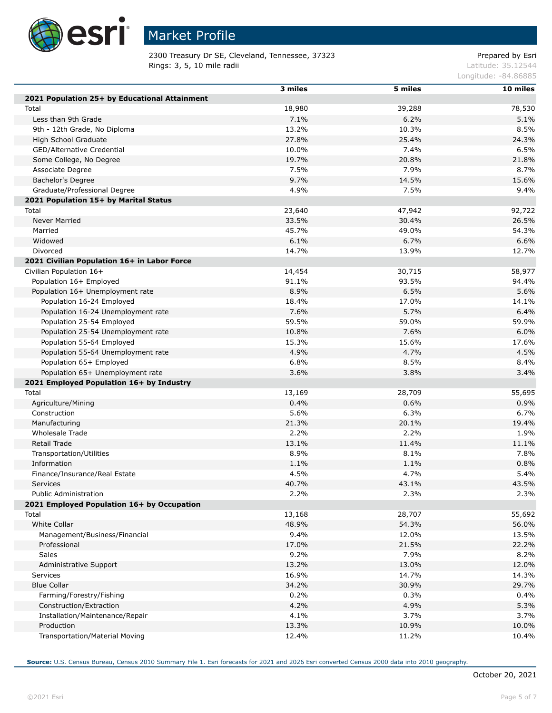

Г

Г

Г

# Market Profile

2300 Treasury Dr SE, Cleveland, Tennessee, 37323 Prepared by Esri **Rings: 3, 5, 10 mile radii** Latitude: 35.12544

Longitude: -84.86885

|                                               | 3 miles | 5 miles | 10 miles |
|-----------------------------------------------|---------|---------|----------|
| 2021 Population 25+ by Educational Attainment |         |         |          |
| Total                                         | 18,980  | 39,288  | 78,530   |
| Less than 9th Grade                           | 7.1%    | 6.2%    | 5.1%     |
| 9th - 12th Grade, No Diploma                  | 13.2%   | 10.3%   | 8.5%     |
| High School Graduate                          | 27.8%   | 25.4%   | 24.3%    |
| GED/Alternative Credential                    | 10.0%   | 7.4%    | 6.5%     |
|                                               | 19.7%   | 20.8%   | 21.8%    |
| Some College, No Degree                       | 7.5%    | 7.9%    | 8.7%     |
| Associate Degree                              | 9.7%    |         | 15.6%    |
| Bachelor's Degree                             |         | 14.5%   |          |
| Graduate/Professional Degree                  | 4.9%    | 7.5%    | 9.4%     |
| 2021 Population 15+ by Marital Status         |         |         |          |
| Total                                         | 23,640  | 47,942  | 92,722   |
| Never Married                                 | 33.5%   | 30.4%   | 26.5%    |
| Married                                       | 45.7%   | 49.0%   | 54.3%    |
| Widowed                                       | 6.1%    | 6.7%    | 6.6%     |
| Divorced                                      | 14.7%   | 13.9%   | 12.7%    |
| 2021 Civilian Population 16+ in Labor Force   |         |         |          |
| Civilian Population 16+                       | 14,454  | 30,715  | 58,977   |
| Population 16+ Employed                       | 91.1%   | 93.5%   | 94.4%    |
| Population 16+ Unemployment rate              | 8.9%    | 6.5%    | 5.6%     |
| Population 16-24 Employed                     | 18.4%   | 17.0%   | 14.1%    |
| Population 16-24 Unemployment rate            | 7.6%    | 5.7%    | 6.4%     |
| Population 25-54 Employed                     | 59.5%   | 59.0%   | 59.9%    |
| Population 25-54 Unemployment rate            | 10.8%   | 7.6%    | 6.0%     |
| Population 55-64 Employed                     | 15.3%   | 15.6%   | 17.6%    |
| Population 55-64 Unemployment rate            | 4.9%    | 4.7%    | 4.5%     |
| Population 65+ Employed                       | 6.8%    | 8.5%    | 8.4%     |
| Population 65+ Unemployment rate              | 3.6%    | 3.8%    | 3.4%     |
| 2021 Employed Population 16+ by Industry      |         |         |          |
| Total                                         | 13,169  | 28,709  | 55,695   |
| Agriculture/Mining                            | 0.4%    | 0.6%    | 0.9%     |
| Construction                                  | 5.6%    | 6.3%    | 6.7%     |
| Manufacturing                                 | 21.3%   | 20.1%   | 19.4%    |
| Wholesale Trade                               | 2.2%    | 2.2%    | 1.9%     |
| Retail Trade                                  | 13.1%   | 11.4%   | 11.1%    |
| Transportation/Utilities                      | 8.9%    | 8.1%    | 7.8%     |
| Information                                   | 1.1%    | 1.1%    | 0.8%     |
| Finance/Insurance/Real Estate                 | 4.5%    | 4.7%    | 5.4%     |
| Services                                      | 40.7%   | 43.1%   | 43.5%    |
| Public Administration                         | 2.2%    | 2.3%    | 2.3%     |
| 2021 Employed Population 16+ by Occupation    |         |         |          |
| Total                                         | 13,168  | 28,707  | 55,692   |
| White Collar                                  | 48.9%   | 54.3%   | 56.0%    |
| Management/Business/Financial                 | 9.4%    | 12.0%   | 13.5%    |
| Professional                                  | 17.0%   | 21.5%   | 22.2%    |
| <b>Sales</b>                                  | 9.2%    | 7.9%    | 8.2%     |
| Administrative Support                        | 13.2%   | 13.0%   | 12.0%    |
| <b>Services</b>                               | 16.9%   | 14.7%   | 14.3%    |
| <b>Blue Collar</b>                            | 34.2%   | 30.9%   | 29.7%    |
| Farming/Forestry/Fishing                      | 0.2%    | 0.3%    | 0.4%     |
| Construction/Extraction                       | 4.2%    | 4.9%    |          |
|                                               |         |         | 5.3%     |
| Installation/Maintenance/Repair               | 4.1%    | 3.7%    | 3.7%     |
| Production                                    | 13.3%   | 10.9%   | 10.0%    |
| Transportation/Material Moving                | 12.4%   | 11.2%   | 10.4%    |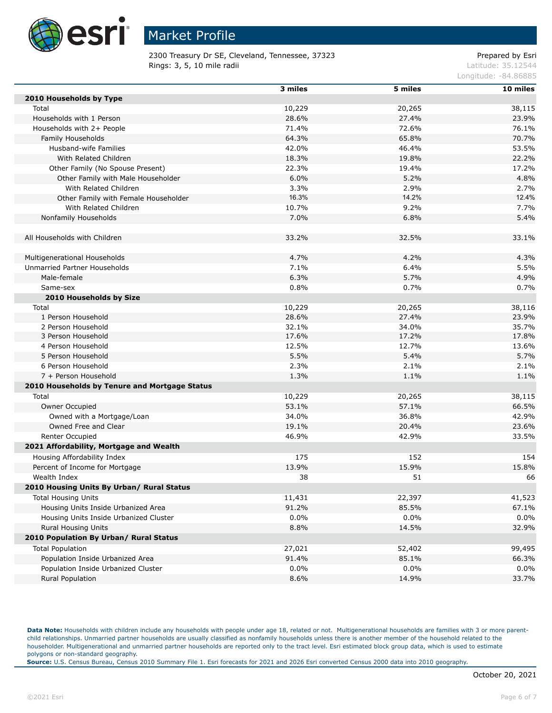

2300 Treasury Dr SE, Cleveland, Tennessee, 37323 Prepared by Esri **Rings: 3, 5, 10 mile radii** Latitude: 35.12544

Longitude: -84.86885

|                                               | 3 miles | 5 miles | 10 miles |
|-----------------------------------------------|---------|---------|----------|
| 2010 Households by Type                       |         |         |          |
| Total                                         | 10,229  | 20,265  | 38,115   |
| Households with 1 Person                      | 28.6%   | 27.4%   | 23.9%    |
| Households with 2+ People                     | 71.4%   | 72.6%   | 76.1%    |
| Family Households                             | 64.3%   | 65.8%   | 70.7%    |
| Husband-wife Families                         | 42.0%   | 46.4%   | 53.5%    |
| With Related Children                         | 18.3%   | 19.8%   | 22.2%    |
| Other Family (No Spouse Present)              | 22.3%   | 19.4%   | 17.2%    |
| Other Family with Male Householder            | 6.0%    | 5.2%    | 4.8%     |
| With Related Children                         | 3.3%    | 2.9%    | 2.7%     |
| Other Family with Female Householder          | 16.3%   | 14.2%   | 12.4%    |
| With Related Children                         | 10.7%   | 9.2%    | 7.7%     |
| Nonfamily Households                          | 7.0%    | 6.8%    | 5.4%     |
|                                               |         |         |          |
| All Households with Children                  | 33.2%   | 32.5%   | 33.1%    |
|                                               |         |         |          |
| Multigenerational Households                  | 4.7%    | 4.2%    | 4.3%     |
| Unmarried Partner Households                  | 7.1%    | 6.4%    | 5.5%     |
| Male-female                                   | 6.3%    | 5.7%    | 4.9%     |
| Same-sex                                      | 0.8%    | 0.7%    | 0.7%     |
| 2010 Households by Size                       |         |         |          |
| Total                                         | 10,229  | 20,265  | 38,116   |
| 1 Person Household                            | 28.6%   | 27.4%   | 23.9%    |
| 2 Person Household                            | 32.1%   | 34.0%   | 35.7%    |
| 3 Person Household                            | 17.6%   | 17.2%   | 17.8%    |
| 4 Person Household                            | 12.5%   | 12.7%   | 13.6%    |
| 5 Person Household                            | 5.5%    | 5.4%    | 5.7%     |
| 6 Person Household                            | 2.3%    | 2.1%    | 2.1%     |
| 7 + Person Household                          | 1.3%    | 1.1%    | 1.1%     |
| 2010 Households by Tenure and Mortgage Status |         |         |          |
| Total                                         | 10,229  | 20,265  | 38,115   |
| Owner Occupied                                | 53.1%   | 57.1%   | 66.5%    |
| Owned with a Mortgage/Loan                    | 34.0%   | 36.8%   | 42.9%    |
| Owned Free and Clear                          | 19.1%   | 20.4%   | 23.6%    |
| Renter Occupied                               | 46.9%   | 42.9%   | 33.5%    |
| 2021 Affordability, Mortgage and Wealth       |         |         |          |
| Housing Affordability Index                   | 175     | 152     | 154      |
| Percent of Income for Mortgage                | 13.9%   | 15.9%   | 15.8%    |
| Wealth Index                                  | 38      | 51      | 66       |
| 2010 Housing Units By Urban/ Rural Status     |         |         |          |
| <b>Total Housing Units</b>                    | 11,431  | 22,397  | 41,523   |
| Housing Units Inside Urbanized Area           | 91.2%   | 85.5%   | 67.1%    |
| Housing Units Inside Urbanized Cluster        | $0.0\%$ | $0.0\%$ | 0.0%     |
| Rural Housing Units                           | 8.8%    | 14.5%   | 32.9%    |
| 2010 Population By Urban/ Rural Status        |         |         |          |
| <b>Total Population</b>                       | 27,021  | 52,402  | 99,495   |
| Population Inside Urbanized Area              | 91.4%   | 85.1%   | 66.3%    |
| Population Inside Urbanized Cluster           | 0.0%    | $0.0\%$ | 0.0%     |
| Rural Population                              | 8.6%    | 14.9%   | 33.7%    |
|                                               |         |         |          |

Data Note: Households with children include any households with people under age 18, related or not. Multigenerational households are families with 3 or more parentchild relationships. Unmarried partner households are usually classified as nonfamily households unless there is another member of the household related to the householder. Multigenerational and unmarried partner households are reported only to the tract level. Esri estimated block group data, which is used to estimate polygons or non-standard geography.